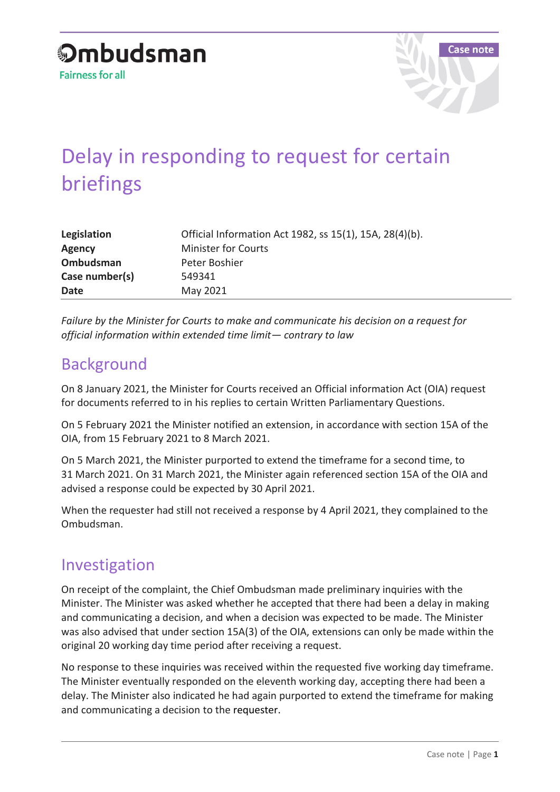

## Delay in responding to request for certain briefings

| Legislation    | Official Information Act 1982, ss 15(1), 15A, 28(4)(b). |
|----------------|---------------------------------------------------------|
| <b>Agency</b>  | <b>Minister for Courts</b>                              |
| Ombudsman      | Peter Boshier                                           |
| Case number(s) | 549341                                                  |
| <b>Date</b>    | May 2021                                                |

*Failure by the Minister for Courts to make and communicate his decision on a request for official information within extended time limit— contrary to law*

## Background

On 8 January 2021, the Minister for Courts received an Official information Act (OIA) request for documents referred to in his replies to certain Written Parliamentary Questions.

On 5 February 2021 the Minister notified an extension, in accordance with section 15A of the OIA, from 15 February 2021 to 8 March 2021.

On 5 March 2021, the Minister purported to extend the timeframe for a second time, to 31 March 2021. On 31 March 2021, the Minister again referenced section 15A of the OIA and advised a response could be expected by 30 April 2021.

When the requester had still not received a response by 4 April 2021, they complained to the Ombudsman.

## Investigation

On receipt of the complaint, the Chief Ombudsman made preliminary inquiries with the Minister. The Minister was asked whether he accepted that there had been a delay in making and communicating a decision, and when a decision was expected to be made. The Minister was also advised that under section 15A(3) of the OIA, extensions can only be made within the original 20 working day time period after receiving a request.

No response to these inquiries was received within the requested five working day timeframe. The Minister eventually responded on the eleventh working day, accepting there had been a delay. The Minister also indicated he had again purported to extend the timeframe for making and communicating a decision to the requester.